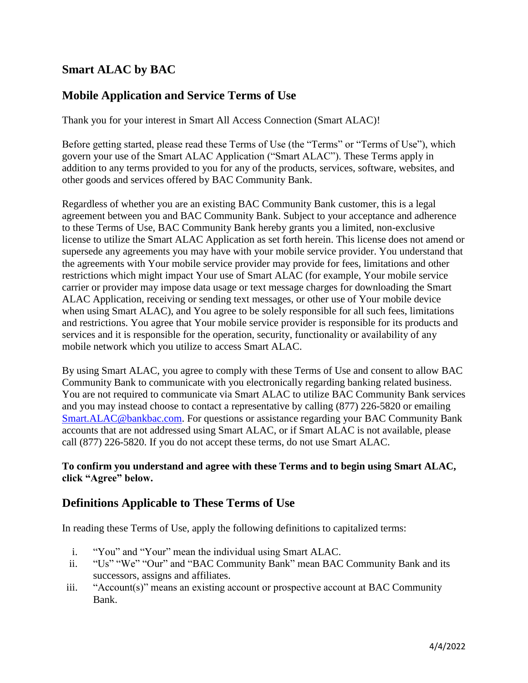### **Smart ALAC by BAC**

#### **Mobile Application and Service Terms of Use**

Thank you for your interest in Smart All Access Connection (Smart ALAC)!

Before getting started, please read these Terms of Use (the "Terms" or "Terms of Use"), which govern your use of the Smart ALAC Application ("Smart ALAC"). These Terms apply in addition to any terms provided to you for any of the products, services, software, websites, and other goods and services offered by BAC Community Bank.

Regardless of whether you are an existing BAC Community Bank customer, this is a legal agreement between you and BAC Community Bank. Subject to your acceptance and adherence to these Terms of Use, BAC Community Bank hereby grants you a limited, non-exclusive license to utilize the Smart ALAC Application as set forth herein. This license does not amend or supersede any agreements you may have with your mobile service provider. You understand that the agreements with Your mobile service provider may provide for fees, limitations and other restrictions which might impact Your use of Smart ALAC (for example, Your mobile service carrier or provider may impose data usage or text message charges for downloading the Smart ALAC Application, receiving or sending text messages, or other use of Your mobile device when using Smart ALAC), and You agree to be solely responsible for all such fees, limitations and restrictions. You agree that Your mobile service provider is responsible for its products and services and it is responsible for the operation, security, functionality or availability of any mobile network which you utilize to access Smart ALAC.

By using Smart ALAC, you agree to comply with these Terms of Use and consent to allow BAC Community Bank to communicate with you electronically regarding banking related business. You are not required to communicate via Smart ALAC to utilize BAC Community Bank services and you may instead choose to contact a representative by calling (877) 226-5820 or emailing Smart.ALAC@bankbac.com. For questions or assistance regarding your BAC Community Bank accounts that are not addressed using Smart ALAC, or if Smart ALAC is not available, please call (877) 226-5820. If you do not accept these terms, do not use Smart ALAC.

#### **To confirm you understand and agree with these Terms and to begin using Smart ALAC, click "Agree" below.**

### **Definitions Applicable to These Terms of Use**

In reading these Terms of Use, apply the following definitions to capitalized terms:

- i. "You" and "Your" mean the individual using Smart ALAC.
- ii. "Us" "We" "Our" and "BAC Community Bank" mean BAC Community Bank and its successors, assigns and affiliates.
- iii. "Account(s)" means an existing account or prospective account at BAC Community Bank.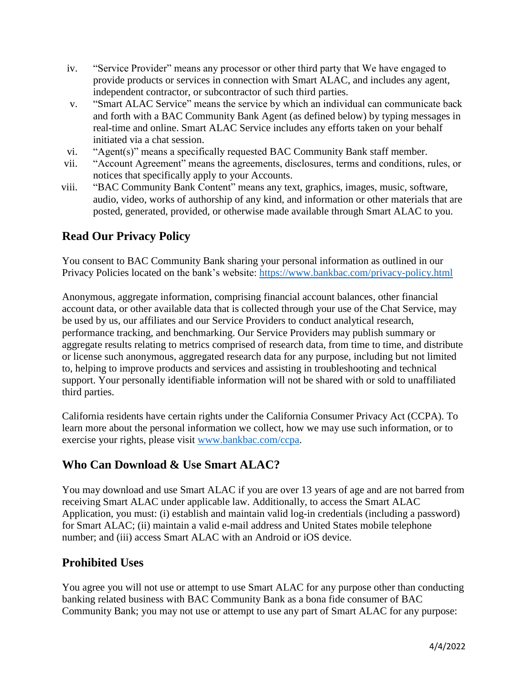- iv. "Service Provider" means any processor or other third party that We have engaged to provide products or services in connection with Smart ALAC, and includes any agent, independent contractor, or subcontractor of such third parties.
- v. "Smart ALAC Service" means the service by which an individual can communicate back and forth with a BAC Community Bank Agent (as defined below) by typing messages in real-time and online. Smart ALAC Service includes any efforts taken on your behalf initiated via a chat session.
- vi. "Agent(s)" means a specifically requested BAC Community Bank staff member.
- vii. "Account Agreement" means the agreements, disclosures, terms and conditions, rules, or notices that specifically apply to your Accounts.
- viii. "BAC Community Bank Content" means any text, graphics, images, music, software, audio, video, works of authorship of any kind, and information or other materials that are posted, generated, provided, or otherwise made available through Smart ALAC to you.

# **Read Our Privacy Policy**

You consent to BAC Community Bank sharing your personal information as outlined in our Privacy Policies located on the bank's website:<https://www.bankbac.com/privacy-policy.html>

Anonymous, aggregate information, comprising financial account balances, other financial account data, or other available data that is collected through your use of the Chat Service, may be used by us, our affiliates and our Service Providers to conduct analytical research, performance tracking, and benchmarking. Our Service Providers may publish summary or aggregate results relating to metrics comprised of research data, from time to time, and distribute or license such anonymous, aggregated research data for any purpose, including but not limited to, helping to improve products and services and assisting in troubleshooting and technical support. Your personally identifiable information will not be shared with or sold to unaffiliated third parties.

California residents have certain rights under the California Consumer Privacy Act (CCPA). To learn more about the personal information we collect, how we may use such information, or to exercise your rights, please visit [www.bankbac.com/ccpa.](http://www.bankbac.com/ccpa)

#### **Who Can Download & Use Smart ALAC?**

You may download and use Smart ALAC if you are over 13 years of age and are not barred from receiving Smart ALAC under applicable law. Additionally, to access the Smart ALAC Application, you must: (i) establish and maintain valid log-in credentials (including a password) for Smart ALAC; (ii) maintain a valid e-mail address and United States mobile telephone number; and (iii) access Smart ALAC with an Android or iOS device.

#### **Prohibited Uses**

You agree you will not use or attempt to use Smart ALAC for any purpose other than conducting banking related business with BAC Community Bank as a bona fide consumer of BAC Community Bank; you may not use or attempt to use any part of Smart ALAC for any purpose: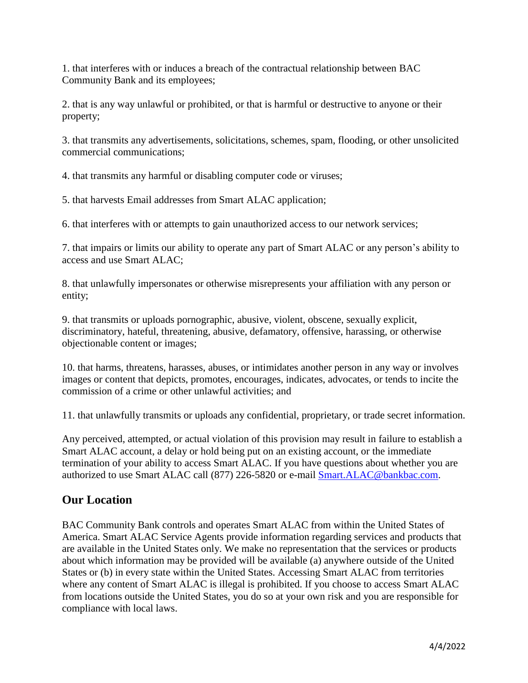1. that interferes with or induces a breach of the contractual relationship between BAC Community Bank and its employees;

2. that is any way unlawful or prohibited, or that is harmful or destructive to anyone or their property;

3. that transmits any advertisements, solicitations, schemes, spam, flooding, or other unsolicited commercial communications;

4. that transmits any harmful or disabling computer code or viruses;

5. that harvests Email addresses from Smart ALAC application;

6. that interferes with or attempts to gain unauthorized access to our network services;

7. that impairs or limits our ability to operate any part of Smart ALAC or any person's ability to access and use Smart ALAC;

8. that unlawfully impersonates or otherwise misrepresents your affiliation with any person or entity;

9. that transmits or uploads pornographic, abusive, violent, obscene, sexually explicit, discriminatory, hateful, threatening, abusive, defamatory, offensive, harassing, or otherwise objectionable content or images;

10. that harms, threatens, harasses, abuses, or intimidates another person in any way or involves images or content that depicts, promotes, encourages, indicates, advocates, or tends to incite the commission of a crime or other unlawful activities; and

11. that unlawfully transmits or uploads any confidential, proprietary, or trade secret information.

Any perceived, attempted, or actual violation of this provision may result in failure to establish a Smart ALAC account, a delay or hold being put on an existing account, or the immediate termination of your ability to access Smart ALAC. If you have questions about whether you are authorized to use Smart ALAC call (877) 226-5820 or e-mail Smart.ALAC@bankbac.com.

#### **Our Location**

BAC Community Bank controls and operates Smart ALAC from within the United States of America. Smart ALAC Service Agents provide information regarding services and products that are available in the United States only. We make no representation that the services or products about which information may be provided will be available (a) anywhere outside of the United States or (b) in every state within the United States. Accessing Smart ALAC from territories where any content of Smart ALAC is illegal is prohibited. If you choose to access Smart ALAC from locations outside the United States, you do so at your own risk and you are responsible for compliance with local laws.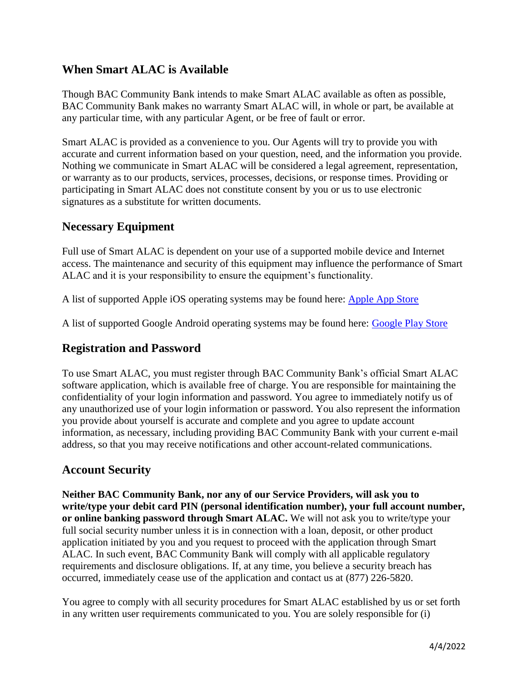#### **When Smart ALAC is Available**

Though BAC Community Bank intends to make Smart ALAC available as often as possible, BAC Community Bank makes no warranty Smart ALAC will, in whole or part, be available at any particular time, with any particular Agent, or be free of fault or error.

Smart ALAC is provided as a convenience to you. Our Agents will try to provide you with accurate and current information based on your question, need, and the information you provide. Nothing we communicate in Smart ALAC will be considered a legal agreement, representation, or warranty as to our products, services, processes, decisions, or response times. Providing or participating in Smart ALAC does not constitute consent by you or us to use electronic signatures as a substitute for written documents.

#### **Necessary Equipment**

Full use of Smart ALAC is dependent on your use of a supported mobile device and Internet access. The maintenance and security of this equipment may influence the performance of Smart ALAC and it is your responsibility to ensure the equipment's functionality.

A list of supported Apple iOS operating systems may be found here: [Apple App Store](https://itunes.apple.com/us/app/umpqua-go-to/id1375092503?ls=1&mt=8)

A list of supported Google Android operating systems may be found here: [Google Play Store](https://play.google.com/store/apps/details?id=com.umpqua.engage)

#### **Registration and Password**

To use Smart ALAC, you must register through BAC Community Bank's official Smart ALAC software application, which is available free of charge. You are responsible for maintaining the confidentiality of your login information and password. You agree to immediately notify us of any unauthorized use of your login information or password. You also represent the information you provide about yourself is accurate and complete and you agree to update account information, as necessary, including providing BAC Community Bank with your current e-mail address, so that you may receive notifications and other account-related communications.

#### **Account Security**

**Neither BAC Community Bank, nor any of our Service Providers, will ask you to write/type your debit card PIN (personal identification number), your full account number, or online banking password through Smart ALAC.** We will not ask you to write/type your full social security number unless it is in connection with a loan, deposit, or other product application initiated by you and you request to proceed with the application through Smart ALAC. In such event, BAC Community Bank will comply with all applicable regulatory requirements and disclosure obligations. If, at any time, you believe a security breach has occurred, immediately cease use of the application and contact us at (877) 226-5820.

You agree to comply with all security procedures for Smart ALAC established by us or set forth in any written user requirements communicated to you. You are solely responsible for (i)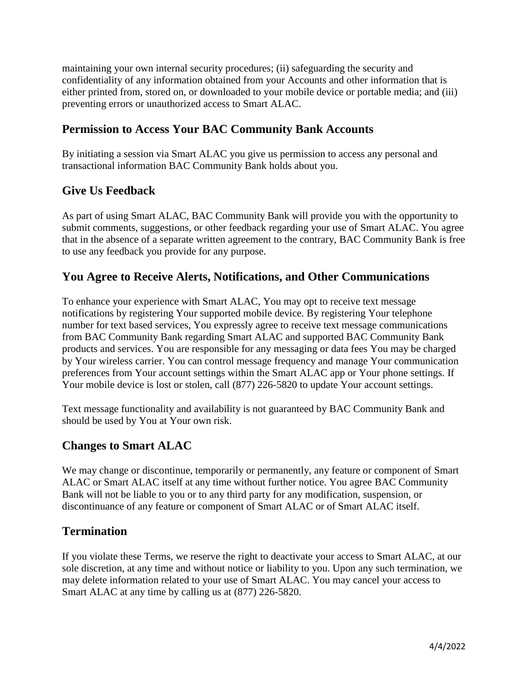maintaining your own internal security procedures; (ii) safeguarding the security and confidentiality of any information obtained from your Accounts and other information that is either printed from, stored on, or downloaded to your mobile device or portable media; and (iii) preventing errors or unauthorized access to Smart ALAC.

#### **Permission to Access Your BAC Community Bank Accounts**

By initiating a session via Smart ALAC you give us permission to access any personal and transactional information BAC Community Bank holds about you.

### **Give Us Feedback**

As part of using Smart ALAC, BAC Community Bank will provide you with the opportunity to submit comments, suggestions, or other feedback regarding your use of Smart ALAC. You agree that in the absence of a separate written agreement to the contrary, BAC Community Bank is free to use any feedback you provide for any purpose.

#### **You Agree to Receive Alerts, Notifications, and Other Communications**

To enhance your experience with Smart ALAC, You may opt to receive text message notifications by registering Your supported mobile device. By registering Your telephone number for text based services, You expressly agree to receive text message communications from BAC Community Bank regarding Smart ALAC and supported BAC Community Bank products and services. You are responsible for any messaging or data fees You may be charged by Your wireless carrier. You can control message frequency and manage Your communication preferences from Your account settings within the Smart ALAC app or Your phone settings. If Your mobile device is lost or stolen, call  $(877)$  226-5820 to update Your account settings.

Text message functionality and availability is not guaranteed by BAC Community Bank and should be used by You at Your own risk.

#### **Changes to Smart ALAC**

We may change or discontinue, temporarily or permanently, any feature or component of Smart ALAC or Smart ALAC itself at any time without further notice. You agree BAC Community Bank will not be liable to you or to any third party for any modification, suspension, or discontinuance of any feature or component of Smart ALAC or of Smart ALAC itself.

#### **Termination**

If you violate these Terms, we reserve the right to deactivate your access to Smart ALAC, at our sole discretion, at any time and without notice or liability to you. Upon any such termination, we may delete information related to your use of Smart ALAC. You may cancel your access to Smart ALAC at any time by calling us at (877) 226-5820.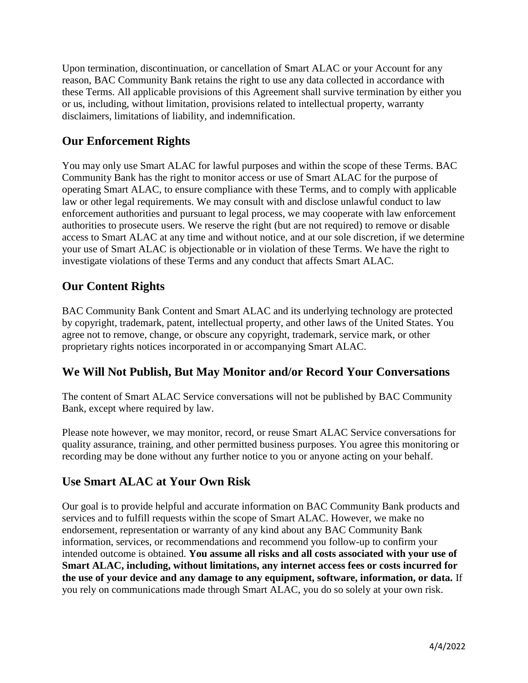Upon termination, discontinuation, or cancellation of Smart ALAC or your Account for any reason, BAC Community Bank retains the right to use any data collected in accordance with these Terms. All applicable provisions of this Agreement shall survive termination by either you or us, including, without limitation, provisions related to intellectual property, warranty disclaimers, limitations of liability, and indemnification.

### **Our Enforcement Rights**

You may only use Smart ALAC for lawful purposes and within the scope of these Terms. BAC Community Bank has the right to monitor access or use of Smart ALAC for the purpose of operating Smart ALAC, to ensure compliance with these Terms, and to comply with applicable law or other legal requirements. We may consult with and disclose unlawful conduct to law enforcement authorities and pursuant to legal process, we may cooperate with law enforcement authorities to prosecute users. We reserve the right (but are not required) to remove or disable access to Smart ALAC at any time and without notice, and at our sole discretion, if we determine your use of Smart ALAC is objectionable or in violation of these Terms. We have the right to investigate violations of these Terms and any conduct that affects Smart ALAC.

### **Our Content Rights**

BAC Community Bank Content and Smart ALAC and its underlying technology are protected by copyright, trademark, patent, intellectual property, and other laws of the United States. You agree not to remove, change, or obscure any copyright, trademark, service mark, or other proprietary rights notices incorporated in or accompanying Smart ALAC.

#### **We Will Not Publish, But May Monitor and/or Record Your Conversations**

The content of Smart ALAC Service conversations will not be published by BAC Community Bank, except where required by law.

Please note however, we may monitor, record, or reuse Smart ALAC Service conversations for quality assurance, training, and other permitted business purposes. You agree this monitoring or recording may be done without any further notice to you or anyone acting on your behalf.

#### **Use Smart ALAC at Your Own Risk**

Our goal is to provide helpful and accurate information on BAC Community Bank products and services and to fulfill requests within the scope of Smart ALAC. However, we make no endorsement, representation or warranty of any kind about any BAC Community Bank information, services, or recommendations and recommend you follow-up to confirm your intended outcome is obtained. **You assume all risks and all costs associated with your use of Smart ALAC, including, without limitations, any internet access fees or costs incurred for the use of your device and any damage to any equipment, software, information, or data.** If you rely on communications made through Smart ALAC, you do so solely at your own risk.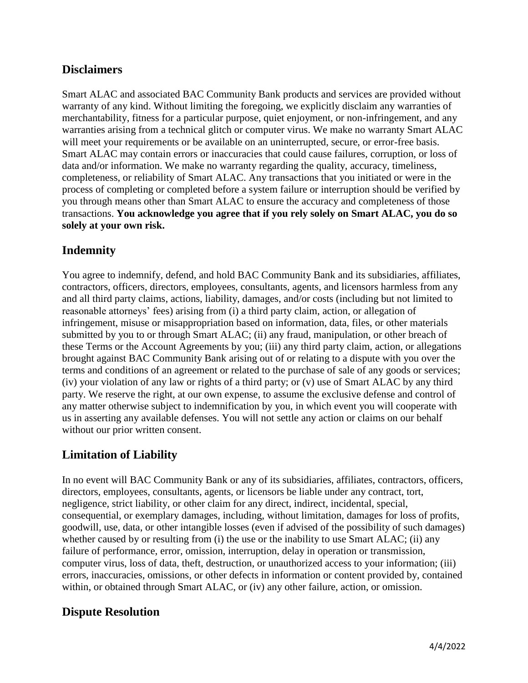#### **Disclaimers**

Smart ALAC and associated BAC Community Bank products and services are provided without warranty of any kind. Without limiting the foregoing, we explicitly disclaim any warranties of merchantability, fitness for a particular purpose, quiet enjoyment, or non-infringement, and any warranties arising from a technical glitch or computer virus. We make no warranty Smart ALAC will meet your requirements or be available on an uninterrupted, secure, or error-free basis. Smart ALAC may contain errors or inaccuracies that could cause failures, corruption, or loss of data and/or information. We make no warranty regarding the quality, accuracy, timeliness, completeness, or reliability of Smart ALAC. Any transactions that you initiated or were in the process of completing or completed before a system failure or interruption should be verified by you through means other than Smart ALAC to ensure the accuracy and completeness of those transactions. **You acknowledge you agree that if you rely solely on Smart ALAC, you do so solely at your own risk.** 

#### **Indemnity**

You agree to indemnify, defend, and hold BAC Community Bank and its subsidiaries, affiliates, contractors, officers, directors, employees, consultants, agents, and licensors harmless from any and all third party claims, actions, liability, damages, and/or costs (including but not limited to reasonable attorneys' fees) arising from (i) a third party claim, action, or allegation of infringement, misuse or misappropriation based on information, data, files, or other materials submitted by you to or through Smart ALAC; (ii) any fraud, manipulation, or other breach of these Terms or the Account Agreements by you; (iii) any third party claim, action, or allegations brought against BAC Community Bank arising out of or relating to a dispute with you over the terms and conditions of an agreement or related to the purchase of sale of any goods or services; (iv) your violation of any law or rights of a third party; or (v) use of Smart ALAC by any third party. We reserve the right, at our own expense, to assume the exclusive defense and control of any matter otherwise subject to indemnification by you, in which event you will cooperate with us in asserting any available defenses. You will not settle any action or claims on our behalf without our prior written consent.

#### **Limitation of Liability**

In no event will BAC Community Bank or any of its subsidiaries, affiliates, contractors, officers, directors, employees, consultants, agents, or licensors be liable under any contract, tort, negligence, strict liability, or other claim for any direct, indirect, incidental, special, consequential, or exemplary damages, including, without limitation, damages for loss of profits, goodwill, use, data, or other intangible losses (even if advised of the possibility of such damages) whether caused by or resulting from (i) the use or the inability to use Smart ALAC; (ii) any failure of performance, error, omission, interruption, delay in operation or transmission, computer virus, loss of data, theft, destruction, or unauthorized access to your information; (iii) errors, inaccuracies, omissions, or other defects in information or content provided by, contained within, or obtained through Smart ALAC, or (iv) any other failure, action, or omission.

#### **Dispute Resolution**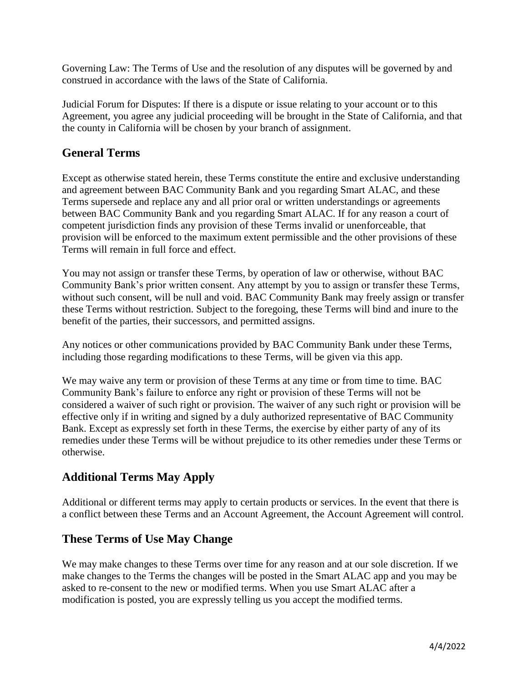Governing Law: The Terms of Use and the resolution of any disputes will be governed by and construed in accordance with the laws of the State of California.

Judicial Forum for Disputes: If there is a dispute or issue relating to your account or to this Agreement, you agree any judicial proceeding will be brought in the State of California, and that the county in California will be chosen by your branch of assignment.

### **General Terms**

Except as otherwise stated herein, these Terms constitute the entire and exclusive understanding and agreement between BAC Community Bank and you regarding Smart ALAC, and these Terms supersede and replace any and all prior oral or written understandings or agreements between BAC Community Bank and you regarding Smart ALAC. If for any reason a court of competent jurisdiction finds any provision of these Terms invalid or unenforceable, that provision will be enforced to the maximum extent permissible and the other provisions of these Terms will remain in full force and effect.

You may not assign or transfer these Terms, by operation of law or otherwise, without BAC Community Bank's prior written consent. Any attempt by you to assign or transfer these Terms, without such consent, will be null and void. BAC Community Bank may freely assign or transfer these Terms without restriction. Subject to the foregoing, these Terms will bind and inure to the benefit of the parties, their successors, and permitted assigns.

Any notices or other communications provided by BAC Community Bank under these Terms, including those regarding modifications to these Terms, will be given via this app.

We may waive any term or provision of these Terms at any time or from time to time. BAC Community Bank's failure to enforce any right or provision of these Terms will not be considered a waiver of such right or provision. The waiver of any such right or provision will be effective only if in writing and signed by a duly authorized representative of BAC Community Bank. Except as expressly set forth in these Terms, the exercise by either party of any of its remedies under these Terms will be without prejudice to its other remedies under these Terms or otherwise.

## **Additional Terms May Apply**

Additional or different terms may apply to certain products or services. In the event that there is a conflict between these Terms and an Account Agreement, the Account Agreement will control.

#### **These Terms of Use May Change**

We may make changes to these Terms over time for any reason and at our sole discretion. If we make changes to the Terms the changes will be posted in the Smart ALAC app and you may be asked to re-consent to the new or modified terms. When you use Smart ALAC after a modification is posted, you are expressly telling us you accept the modified terms.